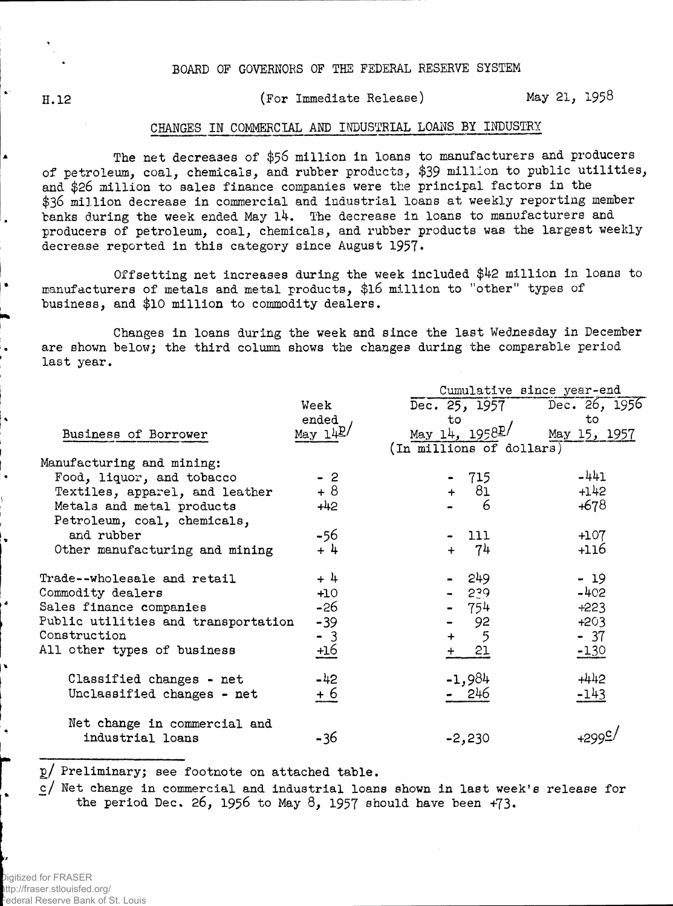H.12

(For Immediate Release) May 21, 195^

## CHANGES IN COMMERCIAL AND INDUSTRIAL LOANS BY INDUSTRY

The net decreases of \$56 million in loans to manufacturers and producers of petroleum, coal, chemicals, and rubber products, \$39 million to public utilities, and \$26 million to sales finance companies were the principal factors in the \$36 million decrease in commercial and industrial loans at weekly reporting member banks during the week ended May 14. The decrease in loans to manufacturers and producers of petroleum, coal, chemicals, and rubber products was the largest weekly decrease reported in this category since August 1957•

Offsetting net increases during the week included \$42 million in loans to manufacturers of metals and metal products, \$l6 million to "other" types of business, and \$10 million to commodity dealers.

Changes in loans during the week and since the last Wednesday in December are shown below; the third column shows the changes during the comparable period last year.

|                                     |            | Cumulative since year-end   |              |  |  |  |  |
|-------------------------------------|------------|-----------------------------|--------------|--|--|--|--|
|                                     | Week       | Dec. 25, 1957 Dec. 26, 1956 |              |  |  |  |  |
|                                     | ended      | to                          | to           |  |  |  |  |
| Business of Borrower                | May $14P$  | May 14, $1958P/$            | May 15, 1957 |  |  |  |  |
|                                     |            | (In millions of dollars)    |              |  |  |  |  |
| Manufacturing and mining:           |            |                             |              |  |  |  |  |
| Food, liquor, and tobacco           | $-2$       | $-715$                      | $-441$       |  |  |  |  |
| Textiles, apparel, and leather      | $+8$       | $+ 81$                      | $+142$       |  |  |  |  |
| Metals and metal products           | $+42$      | $6\overline{6}$             | $+678$       |  |  |  |  |
| Petroleum, coal, chemicals,         |            |                             |              |  |  |  |  |
| and rubber                          | -56        | 111                         | $+107$       |  |  |  |  |
| Other manufacturing and mining      | $+4$       | 74                          | $+116$       |  |  |  |  |
| Trade--wholesale and retail         | $+4$       | 249                         | $-19$        |  |  |  |  |
| Commodity dealers                   | $+10$      | $-239$                      | $-402$       |  |  |  |  |
| Sales finance companies             | -26        | $-754$                      | $+223$       |  |  |  |  |
| Public utilities and transportation | $-39$      | 92                          | $+203$       |  |  |  |  |
| Construction                        | $-3$       | 5<br>$+$                    | $-37$        |  |  |  |  |
| All other types of business         | <u>+16</u> | 21<br>$+$                   | $-130$       |  |  |  |  |
| Classified changes - net            | $-42$      | $-1,984$                    | $+442$       |  |  |  |  |
| Unclassified changes - net          | + 6        | 246                         | -143         |  |  |  |  |
| Net change in commercial and        |            |                             |              |  |  |  |  |
| industrial loans                    | -36        | $-2,230$                    |              |  |  |  |  |

2/ Preliminary; see footnote on attached table.

c/ Net change in commercial and industrial loans shown in last week's release for the period Dec. 26, 1956 to May 8, 1957 should have been  $+73$ .